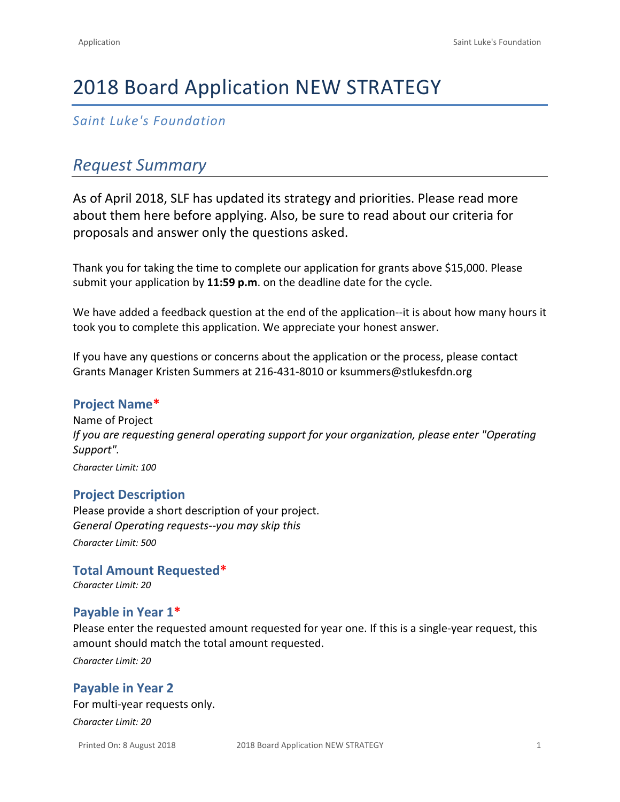# 2018 Board Application NEW STRATEGY

*Saint Luke's Foundation*

# *Request Summary*

As of April 2018, SLF has updated its strategy and priorities. Please read more about them [here](https://www.saintlukesfoundation.org/strategies-goals/overview) before applying. Also, be sure to read about our [criteria for](https://www.saintlukesfoundation.org/grants/criteria-and-measurement)  [proposals](https://www.saintlukesfoundation.org/grants/criteria-and-measurement) and answer only the questions asked.

Thank you for taking the time to complete our application for grants above \$15,000. Please submit your application by **11:59 p.m**. on the deadline date for the cycle.

We have added a feedback question at the end of the application--it is about how many hours it took you to complete this application. We appreciate your honest answer.

If you have any questions or concerns about the application or the process, please contact Grants Manager Kristen Summers at 216-431-8010 or [ksummers@stlukesfdn.org](mailto:ksummers@stlukesfdn.org)

### **Project Name\***

Name of Project *If you are requesting general operating support for your organization, please enter "Operating Support".*

*Character Limit: 100*

### **Project Description**

Please provide a short description of your project. *General Operating requests--you may skip this Character Limit: 500*

**Total Amount Requested\*** *Character Limit: 20*

### **Payable in Year 1\***

Please enter the requested amount requested for year one. If this is a single-year request, this amount should match the total amount requested.

*Character Limit: 20*

### **Payable in Year 2**

For multi-year requests only.

*Character Limit: 20*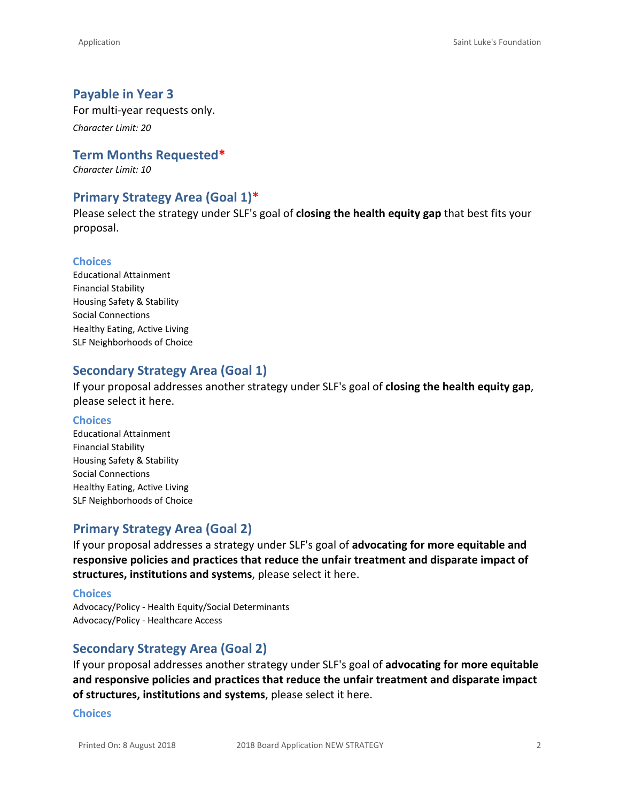#### **Payable in Year 3**

For multi-year requests only.

*Character Limit: 20*

**Term Months Requested\***

*Character Limit: 10*

#### **Primary Strategy Area (Goal 1)\***

Please select the strategy under SLF's goal of **closing the health equity gap** that best fits your proposal.

#### **Choices**

Educational Attainment Financial Stability Housing Safety & Stability Social Connections Healthy Eating, Active Living SLF Neighborhoods of Choice

### **Secondary Strategy Area (Goal 1)**

If your proposal addresses another strategy under SLF's goal of **closing the health equity gap**, please select it here.

#### **Choices**

Educational Attainment Financial Stability Housing Safety & Stability Social Connections Healthy Eating, Active Living SLF Neighborhoods of Choice

### **Primary Strategy Area (Goal 2)**

If your proposal addresses a strategy under SLF's goal of **advocating for more equitable and responsive policies and practices that reduce the unfair treatment and disparate impact of structures, institutions and systems**, please select it here.

#### **Choices**

Advocacy/Policy - Health Equity/Social Determinants Advocacy/Policy - Healthcare Access

#### **Secondary Strategy Area (Goal 2)**

If your proposal addresses another strategy under SLF's goal of **advocating for more equitable and responsive policies and practices that reduce the unfair treatment and disparate impact of structures, institutions and systems**, please select it here.

#### **Choices**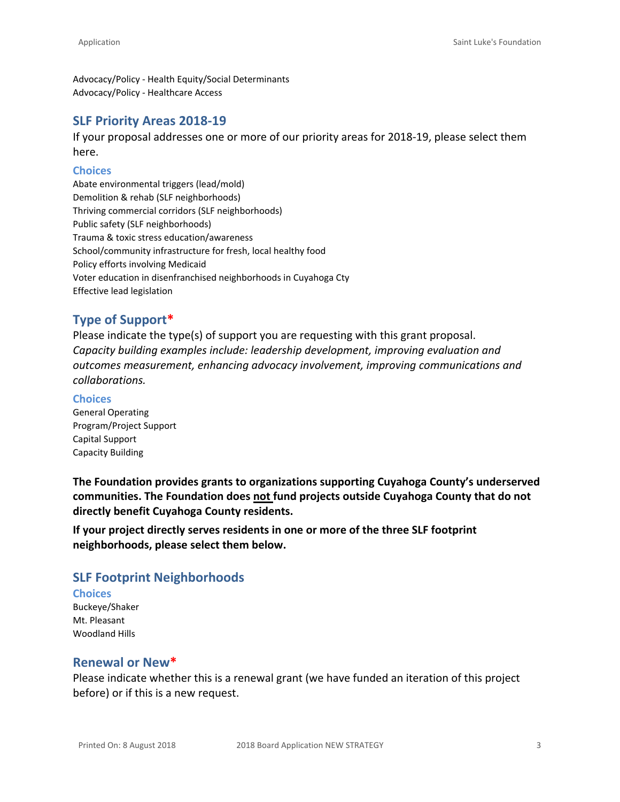Advocacy/Policy - Health Equity/Social Determinants Advocacy/Policy - Healthcare Access

#### **SLF Priority Areas 2018-19**

If your proposal addresses one or more of our [priority areas](https://www.saintlukesfoundation.org/grants/what-we-fund) for 2018-19, please select them here.

#### **Choices**

Abate environmental triggers (lead/mold) Demolition & rehab (SLF neighborhoods) Thriving commercial corridors (SLF neighborhoods) Public safety (SLF neighborhoods) Trauma & toxic stress education/awareness School/community infrastructure for fresh, local healthy food Policy efforts involving Medicaid Voter education in disenfranchised neighborhoods in Cuyahoga Cty Effective lead legislation

### **Type of Support\***

Please indicate the type(s) of support you are requesting with this grant proposal. *Capacity building examples include: leadership development, improving evaluation and outcomes measurement, enhancing advocacy involvement, improving communications and collaborations.*

#### **Choices**

General Operating Program/Project Support Capital Support Capacity Building

**The Foundation provides grants to organizations supporting Cuyahoga County's underserved communities. The Foundation does not fund projects outside Cuyahoga County that do not directly benefit Cuyahoga County residents.**

**If your project directly serves residents in one or more of the three SLF footprint neighborhoods, please select them below.**

### **SLF Footprint Neighborhoods**

### **Choices**

Buckeye/Shaker Mt. Pleasant Woodland Hills

#### **Renewal or New\***

Please indicate whether this is a renewal grant (we have funded an iteration of this project before) or if this is a new request.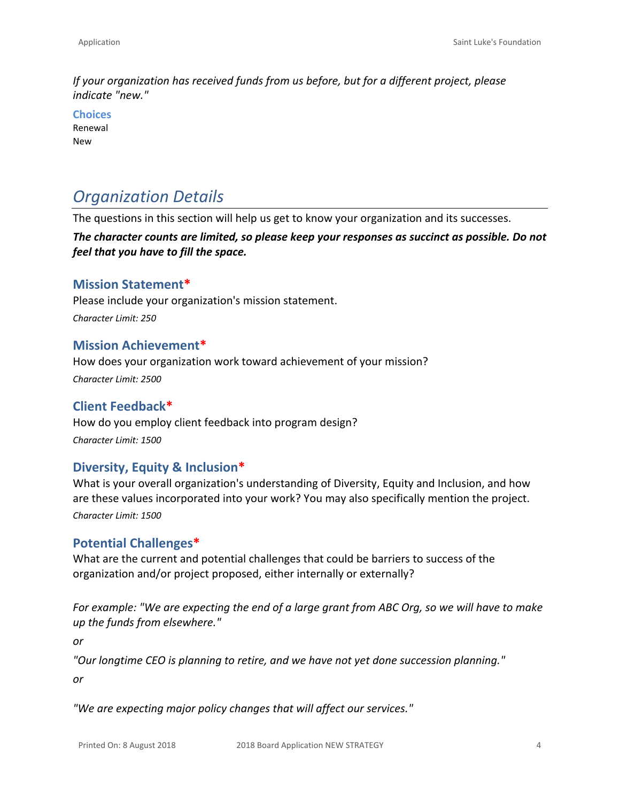*If your organization has received funds from us before, but for a different project, please indicate "new."*

**Choices** Renewal New

# *Organization Details*

The questions in this section will help us get to know your organization and its successes.

*The character counts are limited, so please keep your responses as succinct as possible. Do not feel that you have to fill the space.*

### **Mission Statement\***

Please include your organization's mission statement. *Character Limit: 250*

#### **Mission Achievement\***

How does your organization work toward achievement of your mission? *Character Limit: 2500*

### **Client Feedback\***

How do you employ client feedback into program design? *Character Limit: 1500*

### **Diversity, Equity & Inclusion\***

What is your overall organization's understanding of Diversity, Equity and Inclusion, and how are these values incorporated into your work? You may also specifically mention the project. *Character Limit: 1500*

### **Potential Challenges\***

What are the current and potential challenges that could be barriers to success of the organization and/or project proposed, either internally or externally?

*For example: "We are expecting the end of a large grant from ABC Org, so we will have to make up the funds from elsewhere."*

*or*

*"Our longtime CEO is planning to retire, and we have not yet done succession planning."*

*or*

*"We are expecting major policy changes that will affect our services."*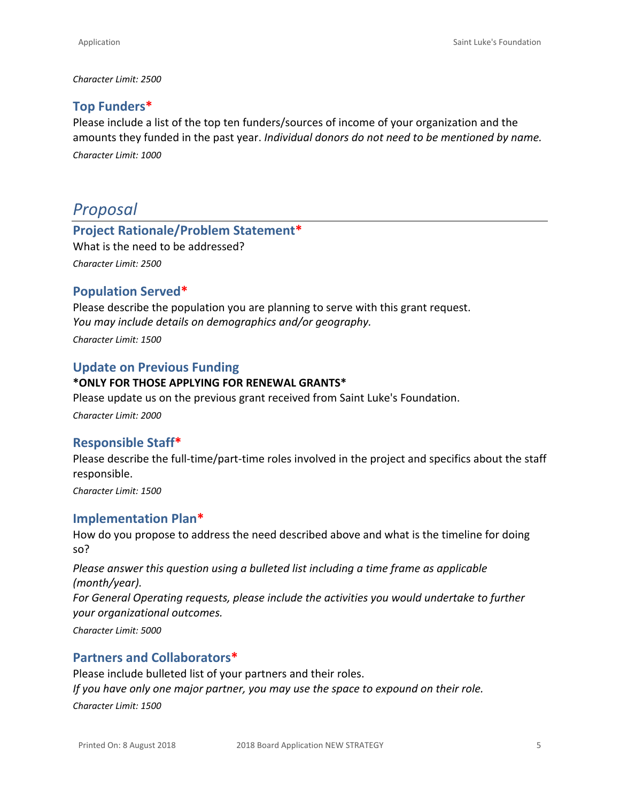#### *Character Limit: 2500*

### **Top Funders\***

Please include a list of the top ten funders/sources of income of your organization and the amounts they funded in the past year. *Individual donors do not need to be mentioned by name. Character Limit: 1000*

## *Proposal*

# **Project Rationale/Problem Statement\***

What is the need to be addressed? *Character Limit: 2500*

### **Population Served\***

Please describe the population you are planning to serve with this grant request. *You may include details on demographics and/or geography.*

*Character Limit: 1500*

### **Update on Previous Funding**

#### **\*ONLY FOR THOSE APPLYING FOR RENEWAL GRANTS\***

Please update us on the previous grant received from Saint Luke's Foundation.

*Character Limit: 2000*

### **Responsible Staff\***

Please describe the full-time/part-time roles involved in the project and specifics about the staff responsible.

*Character Limit: 1500*

### **Implementation Plan\***

How do you propose to address the need described above and what is the timeline for doing so?

*Please answer this question using a bulleted list including a time frame as applicable (month/year).*

*For General Operating requests, please include the activities you would undertake to further your organizational outcomes.*

*Character Limit: 5000*

### **Partners and Collaborators\***

Please include bulleted list of your partners and their roles. *If you have only one major partner, you may use the space to expound on their role. Character Limit: 1500*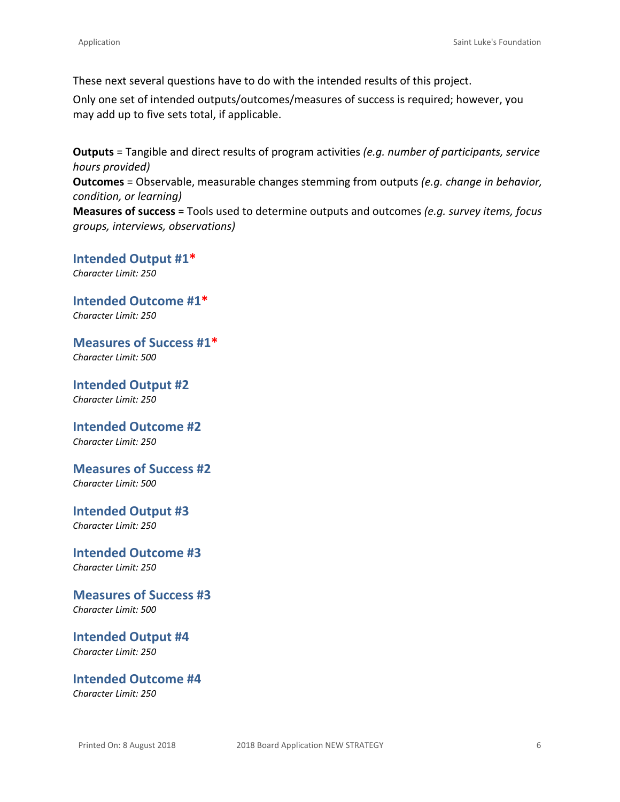These next several questions have to do with the intended results of this project.

Only one set of intended outputs/outcomes/measures of success is required; however, you may add up to five sets total, if applicable.

**Outputs** = Tangible and direct results of program activities *(e.g. number of participants, service hours provided)* **Outcomes** = Observable, measurable changes stemming from outputs *(e.g. change in behavior,* 

*condition, or learning)* **Measures of success** = Tools used to determine outputs and outcomes *(e.g. survey items, focus* 

**Intended Output #1\*** *Character Limit: 250*

*groups, interviews, observations)*

**Intended Outcome #1\*** *Character Limit: 250*

**Measures of Success #1\*** *Character Limit: 500*

**Intended Output #2** *Character Limit: 250*

**Intended Outcome #2** *Character Limit: 250*

**Measures of Success #2**

*Character Limit: 500*

**Intended Output #3** *Character Limit: 250*

**Intended Outcome #3** *Character Limit: 250*

**Measures of Success #3** *Character Limit: 500*

**Intended Output #4** *Character Limit: 250*

**Intended Outcome #4** *Character Limit: 250*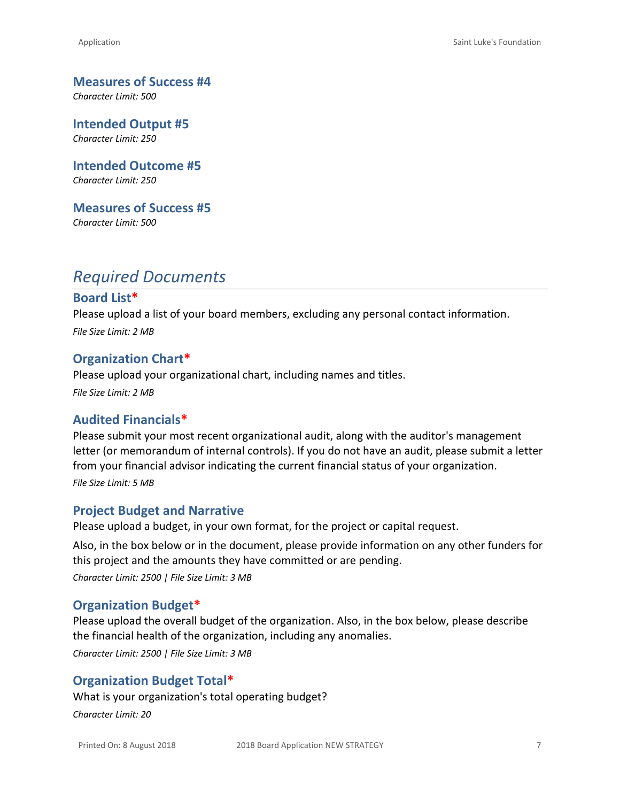**Measures of Success #4**

*Character Limit: 500*

**Intended Output #5** *Character Limit: 250*

**Intended Outcome #5** *Character Limit: 250*

**Measures of Success #5** *Character Limit: 500*

# *Required Documents*

#### **Board List\***

Please upload a list of your board members, excluding any personal contact information. *File Size Limit: 2 MB*

#### **Organization Chart\***

Please upload your organizational chart, including names and titles. *File Size Limit: 2 MB*

#### **Audited Financials\***

Please submit your most recent organizational audit, along with the auditor's management letter (or memorandum of internal controls). If you do not have an audit, please submit a letter from your financial advisor indicating the current financial status of your organization. *File Size Limit: 5 MB*

#### **Project Budget and Narrative**

Please upload a budget, in your own format, for the project or capital request.

Also, in the box below or in the document, please provide information on any other funders for this project and the amounts they have committed or are pending. *Character Limit: 2500 | File Size Limit: 3 MB*

#### **Organization Budget\***

Please upload the overall budget of the organization. Also, in the box below, please describe the financial health of the organization, including any anomalies.

*Character Limit: 2500 | File Size Limit: 3 MB*

#### **Organization Budget Total\***

What is your organization's total operating budget? *Character Limit: 20*